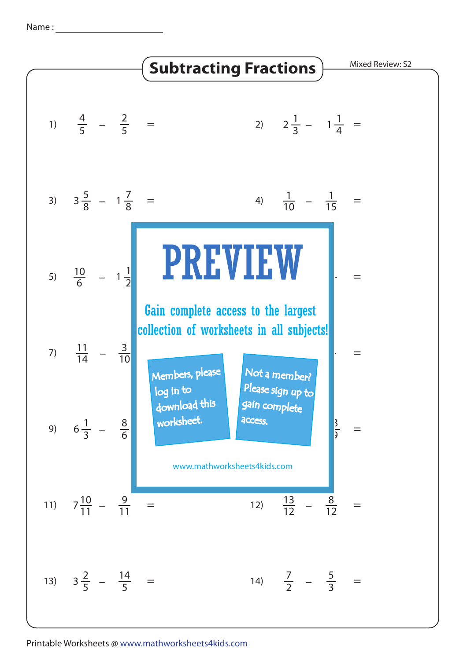